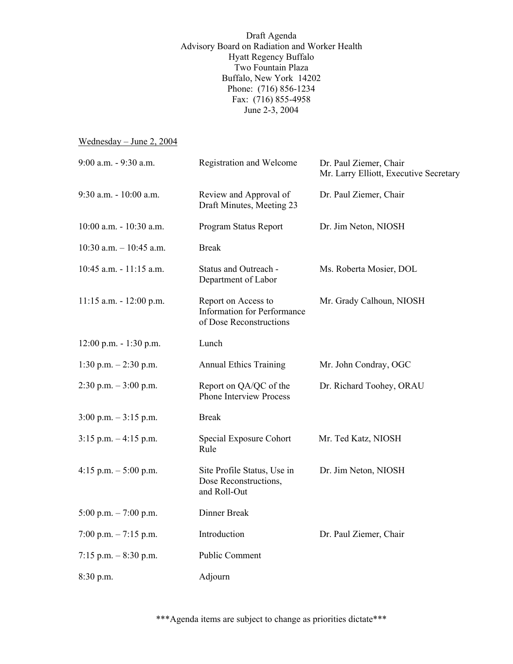Draft Agenda Advisory Board on Radiation and Worker Health Hyatt Regency Buffalo Two Fountain Plaza Buffalo, New York 14202 Phone: (716) 856-1234 Fax: (716) 855-4958 June 2-3, 2004

Wednesday – June 2, 2004

| 9:00 a.m. - 9:30 a.m.      | <b>Registration and Welcome</b>                                                      | Dr. Paul Ziemer, Chair<br>Mr. Larry Elliott, Executive Secretary |
|----------------------------|--------------------------------------------------------------------------------------|------------------------------------------------------------------|
| 9:30 a.m. - 10:00 a.m.     | Review and Approval of<br>Draft Minutes, Meeting 23                                  | Dr. Paul Ziemer, Chair                                           |
| 10:00 a.m. - 10:30 a.m.    | Program Status Report                                                                | Dr. Jim Neton, NIOSH                                             |
| $10:30$ a.m. $-10:45$ a.m. | <b>Break</b>                                                                         |                                                                  |
| 10:45 a.m. - 11:15 a.m.    | Status and Outreach -<br>Department of Labor                                         | Ms. Roberta Mosier, DOL                                          |
| $11:15$ a.m. $-12:00$ p.m. | Report on Access to<br><b>Information for Performance</b><br>of Dose Reconstructions | Mr. Grady Calhoun, NIOSH                                         |
| $12:00$ p.m. $-1:30$ p.m.  | Lunch                                                                                |                                                                  |
| 1:30 p.m. $-2:30$ p.m.     | <b>Annual Ethics Training</b>                                                        | Mr. John Condray, OGC                                            |
| $2:30$ p.m. $-3:00$ p.m.   | Report on QA/QC of the<br><b>Phone Interview Process</b>                             | Dr. Richard Toohey, ORAU                                         |
| $3:00$ p.m. $-3:15$ p.m.   | <b>Break</b>                                                                         |                                                                  |
| $3:15$ p.m. $-4:15$ p.m.   | Special Exposure Cohort<br>Rule                                                      | Mr. Ted Katz, NIOSH                                              |
| 4:15 p.m. $-$ 5:00 p.m.    | Site Profile Status, Use in<br>Dose Reconstructions,<br>and Roll-Out                 | Dr. Jim Neton, NIOSH                                             |
| 5:00 p.m. $-7:00$ p.m.     | Dinner Break                                                                         |                                                                  |
| 7:00 p.m. $-7:15$ p.m.     | Introduction                                                                         | Dr. Paul Ziemer, Chair                                           |
| 7:15 p.m. $-8:30$ p.m.     | <b>Public Comment</b>                                                                |                                                                  |
| 8:30 p.m.                  | Adjourn                                                                              |                                                                  |

\*\*\*Agenda items are subject to change as priorities dictate\*\*\*